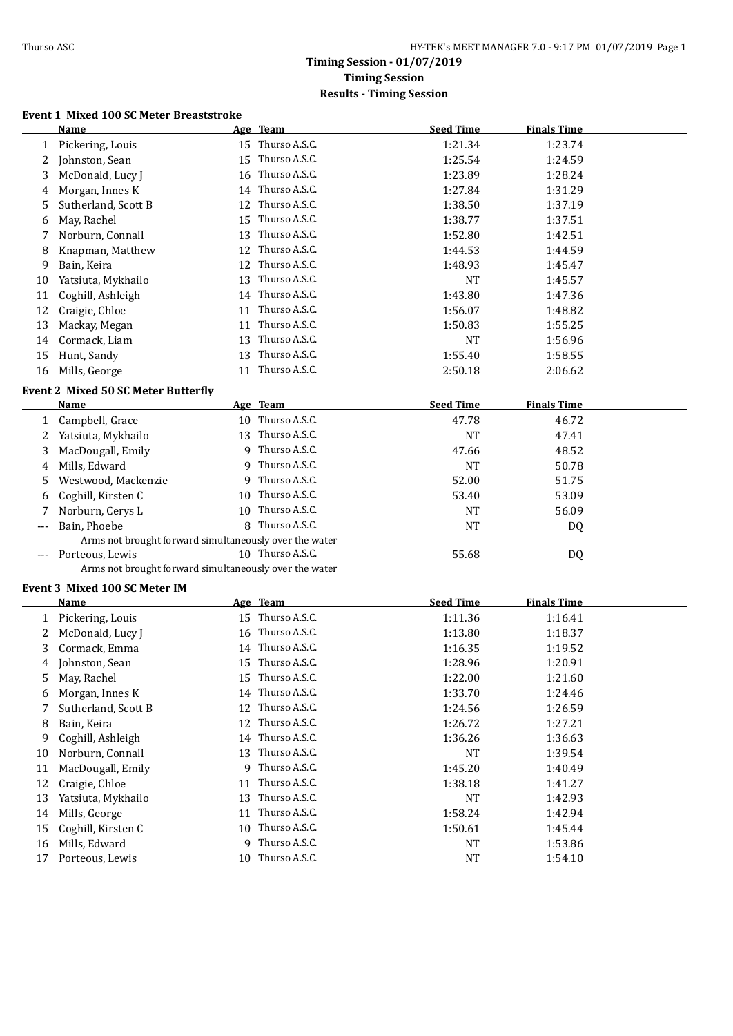### **Timing Session - 01/07/2019 Timing Session Results - Timing Session**

#### **Event 1 Mixed 100 SC Meter Breaststroke**

|                                                        | Name                                                   |    | Age Team         | <b>Seed Time</b> | <b>Finals Time</b> |  |
|--------------------------------------------------------|--------------------------------------------------------|----|------------------|------------------|--------------------|--|
| $\mathbf{1}$                                           | Pickering, Louis                                       |    | 15 Thurso A.S.C. | 1:21.34          | 1:23.74            |  |
| 2                                                      | Johnston, Sean                                         |    | 15 Thurso A.S.C. | 1:25.54          | 1:24.59            |  |
| 3                                                      | McDonald, Lucy J                                       |    | 16 Thurso A.S.C. | 1:23.89          | 1:28.24            |  |
| 4                                                      | Morgan, Innes K                                        |    | 14 Thurso A.S.C. | 1:27.84          | 1:31.29            |  |
| 5                                                      | Sutherland, Scott B                                    |    | 12 Thurso A.S.C. | 1:38.50          | 1:37.19            |  |
| 6                                                      | May, Rachel                                            |    | 15 Thurso A.S.C. | 1:38.77          | 1:37.51            |  |
| 7                                                      | Norburn, Connall                                       |    | 13 Thurso A.S.C. | 1:52.80          | 1:42.51            |  |
| 8                                                      | Knapman, Matthew                                       |    | 12 Thurso A.S.C. | 1:44.53          | 1:44.59            |  |
| 9                                                      | Bain, Keira                                            |    | 12 Thurso A.S.C. | 1:48.93          | 1:45.47            |  |
| 10                                                     | Yatsiuta, Mykhailo                                     |    | 13 Thurso A.S.C. | <b>NT</b>        | 1:45.57            |  |
| 11                                                     | Coghill, Ashleigh                                      |    | 14 Thurso A.S.C. | 1:43.80          | 1:47.36            |  |
| 12                                                     | Craigie, Chloe                                         | 11 | Thurso A.S.C.    | 1:56.07          | 1:48.82            |  |
| 13                                                     | Mackay, Megan                                          | 11 | Thurso A.S.C.    | 1:50.83          | 1:55.25            |  |
| 14                                                     | Cormack, Liam                                          | 13 | Thurso A.S.C.    | <b>NT</b>        | 1:56.96            |  |
| 15                                                     | Hunt, Sandy                                            |    | 13 Thurso A.S.C. | 1:55.40          | 1:58.55            |  |
| 16                                                     | Mills, George                                          |    | 11 Thurso A.S.C. | 2:50.18          | 2:06.62            |  |
|                                                        |                                                        |    |                  |                  |                    |  |
|                                                        | <b>Event 2 Mixed 50 SC Meter Butterfly</b>             |    |                  |                  |                    |  |
|                                                        | <b>Name</b>                                            |    | Age Team         | <b>Seed Time</b> | <b>Finals Time</b> |  |
| 1                                                      | Campbell, Grace                                        |    | 10 Thurso A.S.C. | 47.78            | 46.72              |  |
| 2                                                      | Yatsiuta, Mykhailo                                     |    | 13 Thurso A.S.C. | <b>NT</b>        | 47.41              |  |
| 3                                                      | MacDougall, Emily                                      |    | 9 Thurso A.S.C.  | 47.66            | 48.52              |  |
| 4                                                      | Mills, Edward                                          | 9  | Thurso A.S.C.    | <b>NT</b>        | 50.78              |  |
| 5                                                      | Westwood, Mackenzie                                    |    | 9 Thurso A.S.C.  | 52.00            | 51.75              |  |
| 6                                                      | Coghill, Kirsten C                                     |    | 10 Thurso A.S.C. | 53.40            | 53.09              |  |
| 7                                                      | Norburn, Cerys L                                       |    | 10 Thurso A.S.C. | <b>NT</b>        | 56.09              |  |
| ---                                                    | Bain, Phoebe                                           |    | 8 Thurso A.S.C.  | <b>NT</b>        | DQ                 |  |
| Arms not brought forward simultaneously over the water |                                                        |    |                  |                  |                    |  |
|                                                        | Porteous, Lewis                                        |    | 10 Thurso A.S.C. | 55.68            | DQ                 |  |
|                                                        | Arms not brought forward simultaneously over the water |    |                  |                  |                    |  |
|                                                        | Event 3 Mixed 100 SC Meter IM                          |    |                  |                  |                    |  |
|                                                        | Name                                                   |    | Age Team         | <b>Seed Time</b> | <b>Finals Time</b> |  |
|                                                        | 1 Pickering, Louis                                     |    | 15 Thurso A.S.C. | 1:11.36          | 1:16.41            |  |
| 2                                                      | McDonald, Lucy J                                       |    | 16 Thurso A.S.C. | 1:13.80          | 1:18.37            |  |
| 3                                                      | Cormack, Emma                                          |    | 14 Thurso A.S.C. | 1:16.35          | 1:19.52            |  |
| 4                                                      | Johnston, Sean                                         |    | 15 Thurso A.S.C. | 1:28.96          | 1:20.91            |  |
|                                                        | 5 May, Rachel                                          |    | 15 Thurso A.S.C. | 1:22.00          | 1:21.60            |  |
| 6                                                      | Morgan, Innes K                                        |    | 14 Thurso A.S.C. | 1:33.70          | 1:24.46            |  |
| 7                                                      | Sutherland, Scott B                                    |    | 12 Thurso A.S.C. | 1:24.56          | 1:26.59            |  |
| 8                                                      | Bain, Keira                                            |    | 12 Thurso A.S.C. | 1:26.72          | 1:27.21            |  |
| 9                                                      | Coghill, Ashleigh                                      |    | 14 Thurso A.S.C. | 1:36.26          | 1:36.63            |  |
| 10                                                     | Norburn, Connall                                       |    | 13 Thurso A.S.C. | NT               | 1:39.54            |  |
| 11                                                     | MacDougall, Emily                                      | 9  | Thurso A.S.C.    | 1:45.20          | 1:40.49            |  |
| 12                                                     | Craigie, Chloe                                         | 11 | Thurso A.S.C.    | 1:38.18          | 1:41.27            |  |
| 13                                                     | Yatsiuta, Mykhailo                                     | 13 | Thurso A.S.C.    | NT               | 1:42.93            |  |
| 14                                                     | Mills, George                                          | 11 | Thurso A.S.C.    | 1:58.24          | 1:42.94            |  |
| 15                                                     | Coghill, Kirsten C                                     | 10 | Thurso A.S.C.    | 1:50.61          | 1:45.44            |  |
| 16                                                     | Mills, Edward                                          | 9  | Thurso A.S.C.    | NT               | 1:53.86            |  |
| 17                                                     | Porteous, Lewis                                        |    | 10 Thurso A.S.C. | <b>NT</b>        | 1:54.10            |  |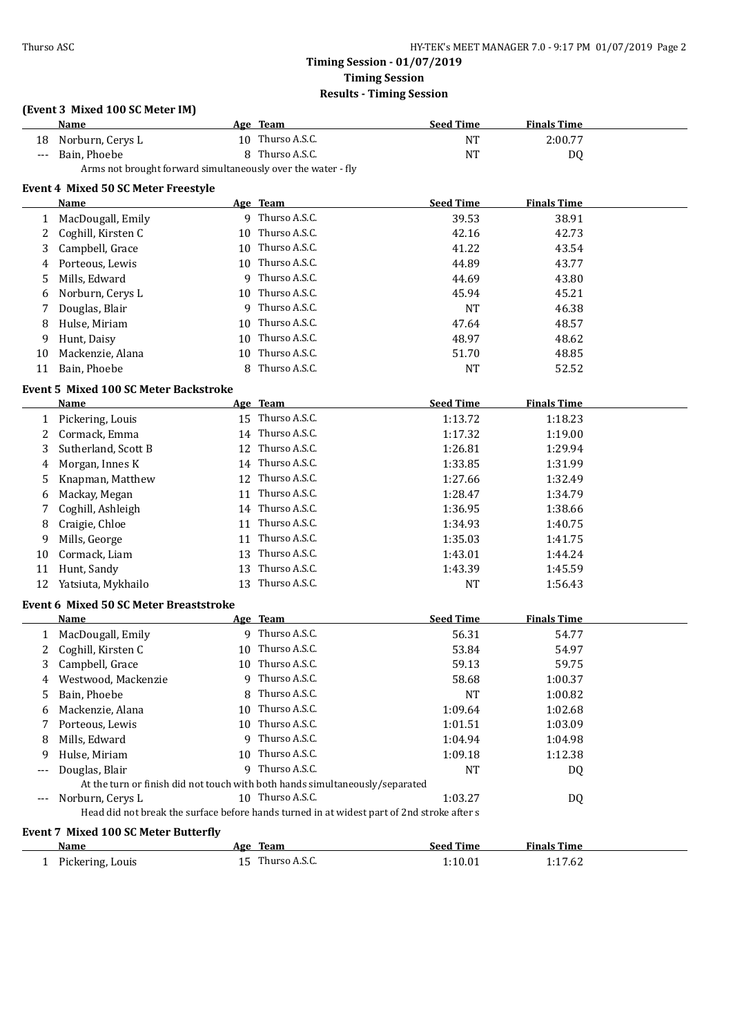### **Timing Session - 01/07/2019 Timing Session Results - Timing Session**

## **(Event 3 Mixed 100 SC Meter IM)**

|       | <b>Name</b>                                                                                |    | Age Team         | <b>Seed Time</b> | <b>Finals Time</b> |  |
|-------|--------------------------------------------------------------------------------------------|----|------------------|------------------|--------------------|--|
| 18    | Norburn, Cerys L                                                                           |    | 10 Thurso A.S.C. | NT               | 2:00.77            |  |
| $---$ | Bain, Phoebe                                                                               |    | 8 Thurso A.S.C.  | NT               | DQ                 |  |
|       | Arms not brought forward simultaneously over the water - fly                               |    |                  |                  |                    |  |
|       | Event 4 Mixed 50 SC Meter Freestyle                                                        |    |                  |                  |                    |  |
|       | <b>Name</b>                                                                                |    | Age Team         | <b>Seed Time</b> | <b>Finals Time</b> |  |
| 1     | MacDougall, Emily                                                                          |    | 9 Thurso A.S.C.  | 39.53            | 38.91              |  |
| 2     | Coghill, Kirsten C                                                                         |    | 10 Thurso A.S.C. | 42.16            | 42.73              |  |
| 3     | Campbell, Grace                                                                            |    | 10 Thurso A.S.C. | 41.22            | 43.54              |  |
| 4     | Porteous, Lewis                                                                            |    | 10 Thurso A.S.C. | 44.89            | 43.77              |  |
| 5     | Mills, Edward                                                                              |    | 9 Thurso A.S.C.  | 44.69            | 43.80              |  |
| 6     | Norburn, Cerys L                                                                           |    | 10 Thurso A.S.C. | 45.94            | 45.21              |  |
| 7     | Douglas, Blair                                                                             |    | 9 Thurso A.S.C.  | NT               | 46.38              |  |
| 8     | Hulse, Miriam                                                                              |    | 10 Thurso A.S.C. | 47.64            | 48.57              |  |
| 9     | Hunt, Daisy                                                                                |    | 10 Thurso A.S.C. | 48.97            | 48.62              |  |
| 10    | Mackenzie, Alana                                                                           |    | 10 Thurso A.S.C. | 51.70            | 48.85              |  |
| 11    | Bain, Phoebe                                                                               |    | 8 Thurso A.S.C.  | <b>NT</b>        | 52.52              |  |
|       |                                                                                            |    |                  |                  |                    |  |
|       | <b>Event 5 Mixed 100 SC Meter Backstroke</b>                                               |    |                  |                  |                    |  |
|       | Name                                                                                       |    | Age Team         | <b>Seed Time</b> | <b>Finals Time</b> |  |
|       | 1 Pickering, Louis                                                                         |    | 15 Thurso A.S.C. | 1:13.72          | 1:18.23            |  |
| 2     | Cormack, Emma                                                                              |    | 14 Thurso A.S.C. | 1:17.32          | 1:19.00            |  |
| 3     | Sutherland, Scott B                                                                        |    | 12 Thurso A.S.C. | 1:26.81          | 1:29.94            |  |
| 4     | Morgan, Innes K                                                                            |    | 14 Thurso A.S.C. | 1:33.85          | 1:31.99            |  |
| 5     | Knapman, Matthew                                                                           |    | 12 Thurso A.S.C. | 1:27.66          | 1:32.49            |  |
| 6     | Mackay, Megan                                                                              |    | 11 Thurso A.S.C. | 1:28.47          | 1:34.79            |  |
| 7     | Coghill, Ashleigh                                                                          |    | 14 Thurso A.S.C. | 1:36.95          | 1:38.66            |  |
| 8     | Craigie, Chloe                                                                             |    | 11 Thurso A.S.C. | 1:34.93          | 1:40.75            |  |
| 9     | Mills, George                                                                              |    | 11 Thurso A.S.C. | 1:35.03          | 1:41.75            |  |
| 10    | Cormack, Liam                                                                              |    | 13 Thurso A.S.C. | 1:43.01          | 1:44.24            |  |
| 11    | Hunt, Sandy                                                                                | 13 | Thurso A.S.C.    | 1:43.39          | 1:45.59            |  |
| 12    | Yatsiuta, Mykhailo                                                                         |    | 13 Thurso A.S.C. | <b>NT</b>        | 1:56.43            |  |
|       | <b>Event 6 Mixed 50 SC Meter Breaststroke</b>                                              |    |                  |                  |                    |  |
|       | Name                                                                                       |    | Age Team         | <b>Seed Time</b> | <b>Finals Time</b> |  |
| 1     | MacDougall, Emily                                                                          |    | 9 Thurso A.S.C.  | 56.31            | 54.77              |  |
| 2     | Coghill, Kirsten C                                                                         |    | 10 Thurso A.S.C. | 53.84            | 54.97              |  |
| 3     | Campbell, Grace                                                                            |    | 10 Thurso A.S.C. | 59.13            | 59.75              |  |
| 4     | Westwood, Mackenzie                                                                        |    | 9 Thurso A.S.C.  | 58.68            | 1:00.37            |  |
| 5     | Bain, Phoebe                                                                               |    | 8 Thurso A.S.C.  | <b>NT</b>        | 1:00.82            |  |
| 6     | Mackenzie, Alana                                                                           |    | 10 Thurso A.S.C. | 1:09.64          | 1:02.68            |  |
| 7     | Porteous, Lewis                                                                            |    | 10 Thurso A.S.C. | 1:01.51          | 1:03.09            |  |
| 8     | Mills, Edward                                                                              |    | 9 Thurso A.S.C.  | 1:04.94          | 1:04.98            |  |
| 9     | Hulse, Miriam                                                                              |    | 10 Thurso A.S.C. | 1:09.18          | 1:12.38            |  |
| $---$ | Douglas, Blair                                                                             |    | 9 Thurso A.S.C.  | NT               | DQ                 |  |
|       | At the turn or finish did not touch with both hands simultaneously/separated               |    |                  |                  |                    |  |
|       | Norburn, Cerys L                                                                           |    | 10 Thurso A.S.C. | 1:03.27          | DQ                 |  |
|       | Head did not break the surface before hands turned in at widest part of 2nd stroke after s |    |                  |                  |                    |  |
|       | <b>Event 7 Mixed 100 SC Meter Butterfly</b>                                                |    |                  |                  |                    |  |
|       | Name                                                                                       |    | Age Team         | <b>Seed Time</b> | <b>Finals Time</b> |  |
|       | 1 Pickering, Louis                                                                         |    | 15 Thurso A.S.C. | 1:10.01          | 1:17.62            |  |
|       |                                                                                            |    |                  |                  |                    |  |